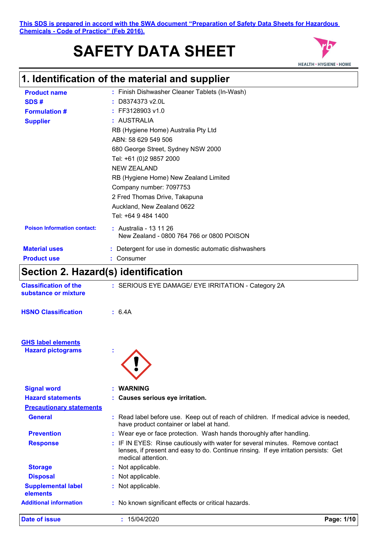#### **This SDS is prepared in accord with the SWA document "Preparation of Safety Data Sheets for Hazardous Chemicals - Code of Practice" (Feb 2016).**

# **SAFETY DATA SHEET**



## **1. Identification of the material and supplier**

| <b>Product name</b>                | : Finish Dishwasher Cleaner Tablets (In-Wash)                       |
|------------------------------------|---------------------------------------------------------------------|
| SDS#                               | D8374373 v2.0L                                                      |
| <b>Formulation #</b>               | $:$ FF3128903 v1.0                                                  |
| <b>Supplier</b>                    | : AUSTRALIA                                                         |
|                                    | RB (Hygiene Home) Australia Pty Ltd                                 |
|                                    | ABN: 58 629 549 506                                                 |
|                                    | 680 George Street, Sydney NSW 2000                                  |
|                                    | Tel: +61 (0)2 9857 2000                                             |
|                                    | <b>NEW ZEALAND</b>                                                  |
|                                    | RB (Hygiene Home) New Zealand Limited                               |
|                                    | Company number: 7097753                                             |
|                                    | 2 Fred Thomas Drive, Takapuna                                       |
|                                    | Auckland, New Zealand 0622                                          |
|                                    | Tel: +64 9 484 1400                                                 |
| <b>Poison Information contact:</b> | : Australia - 13 11 26<br>New Zealand - 0800 764 766 or 0800 POISON |
| <b>Material uses</b>               | : Detergent for use in domestic automatic dishwashers               |
| <b>Product use</b>                 | Consumer                                                            |

## **Section 2. Hazard(s) identification**

| <b>Classification of the</b><br>substance or mixture  | : SERIOUS EYE DAMAGE/ EYE IRRITATION - Category 2A                                                                                                                                          |
|-------------------------------------------------------|---------------------------------------------------------------------------------------------------------------------------------------------------------------------------------------------|
| <b>HSNO Classification</b>                            | : 6.4A                                                                                                                                                                                      |
| <b>GHS label elements</b><br><b>Hazard pictograms</b> |                                                                                                                                                                                             |
| <b>Signal word</b>                                    | <b>WARNING</b>                                                                                                                                                                              |
| <b>Hazard statements</b>                              | : Causes serious eye irritation.                                                                                                                                                            |
| <b>Precautionary statements</b>                       |                                                                                                                                                                                             |
| <b>General</b>                                        | : Read label before use. Keep out of reach of children. If medical advice is needed,<br>have product container or label at hand.                                                            |
| <b>Prevention</b>                                     | : Wear eye or face protection. Wash hands thoroughly after handling.                                                                                                                        |
| <b>Response</b>                                       | : IF IN EYES: Rinse cautiously with water for several minutes. Remove contact<br>lenses, if present and easy to do. Continue rinsing. If eye irritation persists: Get<br>medical attention. |
| <b>Storage</b>                                        | : Not applicable.                                                                                                                                                                           |
| <b>Disposal</b>                                       | : Not applicable.                                                                                                                                                                           |
| <b>Supplemental label</b><br>elements                 | : Not applicable.                                                                                                                                                                           |
| <b>Additional information</b>                         | : No known significant effects or critical hazards.                                                                                                                                         |

**Date of issue :** 15/04/2020 **Page: 1/10**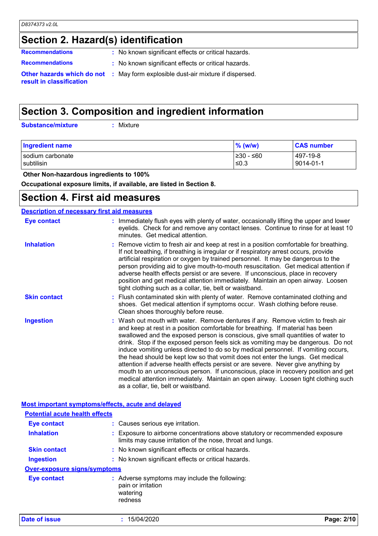### **Section 2. Hazard(s) identification**

**Recommendations :** No known significant effects or critical hazards.

- 
- **Recommendations :** No known significant effects or critical hazards.

**Other hazards which do not :** May form explosible dust-air mixture if dispersed. **result in classification**

### **Section 3. Composition and ingredient information**

**Substance/mixture :**

: Mixture

| Ingredient name  | $%$ (w/w)  | <b>CAS number</b> |
|------------------|------------|-------------------|
| sodium carbonate | l≥30 - ≤60 | l 497-19-8        |
| I subtilisin     | ≤0.3       | $ 9014 - 01 - 1$  |

#### **Other Non-hazardous ingredients to 100%**

**Occupational exposure limits, if available, are listed in Section 8.**

#### **Section 4. First aid measures**

| <b>Description of necessary first aid measures</b><br><b>Eye contact</b><br><b>Inhalation</b><br><b>Skin contact</b> |                                                                                                                                                                                                                                                                                                                                                                                                                                                                                                                                                                                                                                                                                                                                                                                                                              |
|----------------------------------------------------------------------------------------------------------------------|------------------------------------------------------------------------------------------------------------------------------------------------------------------------------------------------------------------------------------------------------------------------------------------------------------------------------------------------------------------------------------------------------------------------------------------------------------------------------------------------------------------------------------------------------------------------------------------------------------------------------------------------------------------------------------------------------------------------------------------------------------------------------------------------------------------------------|
|                                                                                                                      |                                                                                                                                                                                                                                                                                                                                                                                                                                                                                                                                                                                                                                                                                                                                                                                                                              |
|                                                                                                                      | : Immediately flush eyes with plenty of water, occasionally lifting the upper and lower<br>eyelids. Check for and remove any contact lenses. Continue to rinse for at least 10<br>minutes. Get medical attention.                                                                                                                                                                                                                                                                                                                                                                                                                                                                                                                                                                                                            |
|                                                                                                                      | Remove victim to fresh air and keep at rest in a position comfortable for breathing.<br>If not breathing, if breathing is irregular or if respiratory arrest occurs, provide<br>artificial respiration or oxygen by trained personnel. It may be dangerous to the<br>person providing aid to give mouth-to-mouth resuscitation. Get medical attention if<br>adverse health effects persist or are severe. If unconscious, place in recovery<br>position and get medical attention immediately. Maintain an open airway. Loosen<br>tight clothing such as a collar, tie, belt or waistband.                                                                                                                                                                                                                                   |
|                                                                                                                      | : Flush contaminated skin with plenty of water. Remove contaminated clothing and<br>shoes. Get medical attention if symptoms occur. Wash clothing before reuse.<br>Clean shoes thoroughly before reuse.                                                                                                                                                                                                                                                                                                                                                                                                                                                                                                                                                                                                                      |
| <b>Ingestion</b>                                                                                                     | : Wash out mouth with water. Remove dentures if any. Remove victim to fresh air<br>and keep at rest in a position comfortable for breathing. If material has been<br>swallowed and the exposed person is conscious, give small quantities of water to<br>drink. Stop if the exposed person feels sick as vomiting may be dangerous. Do not<br>induce vomiting unless directed to do so by medical personnel. If vomiting occurs,<br>the head should be kept low so that vomit does not enter the lungs. Get medical<br>attention if adverse health effects persist or are severe. Never give anything by<br>mouth to an unconscious person. If unconscious, place in recovery position and get<br>medical attention immediately. Maintain an open airway. Loosen tight clothing such<br>as a collar, tie, belt or waistband. |
|                                                                                                                      | Most important symptoms/effects, acute and delayed                                                                                                                                                                                                                                                                                                                                                                                                                                                                                                                                                                                                                                                                                                                                                                           |
| <b>Potential acute health effects</b>                                                                                |                                                                                                                                                                                                                                                                                                                                                                                                                                                                                                                                                                                                                                                                                                                                                                                                                              |
| <b>Eye contact</b>                                                                                                   | : Causes serious eye irritation.                                                                                                                                                                                                                                                                                                                                                                                                                                                                                                                                                                                                                                                                                                                                                                                             |
| <b>Inhalation</b>                                                                                                    | : Exposure to airborne concentrations above statutory or recommended exposure<br>limits may cause irritation of the nose, throat and lungs.                                                                                                                                                                                                                                                                                                                                                                                                                                                                                                                                                                                                                                                                                  |
| <b>Skin contact</b>                                                                                                  | : No known significant effects or critical hazards.                                                                                                                                                                                                                                                                                                                                                                                                                                                                                                                                                                                                                                                                                                                                                                          |
| <b>Ingestion</b>                                                                                                     | : No known significant effects or critical hazards.                                                                                                                                                                                                                                                                                                                                                                                                                                                                                                                                                                                                                                                                                                                                                                          |
| <b>Over-exposure signs/symptoms</b>                                                                                  |                                                                                                                                                                                                                                                                                                                                                                                                                                                                                                                                                                                                                                                                                                                                                                                                                              |
| <b>Eye contact</b>                                                                                                   | : Adverse symptoms may include the following:<br>pain or irritation                                                                                                                                                                                                                                                                                                                                                                                                                                                                                                                                                                                                                                                                                                                                                          |

**Date of issue :** 15/04/2020 **Page: 2/10**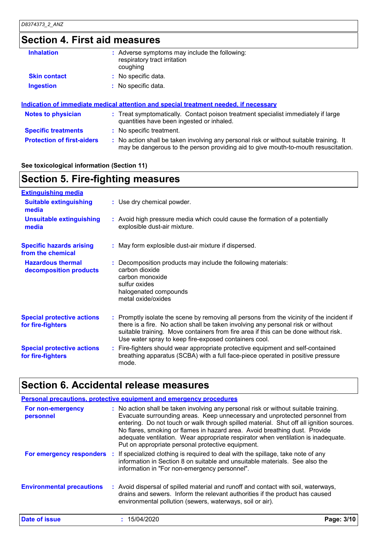### **Section 4. First aid measures**

| <b>Inhalation</b>                 | : Adverse symptoms may include the following:<br>respiratory tract irritation<br>coughing                                                                                     |
|-----------------------------------|-------------------------------------------------------------------------------------------------------------------------------------------------------------------------------|
| <b>Skin contact</b>               | : No specific data.                                                                                                                                                           |
| <b>Ingestion</b>                  | : No specific data.                                                                                                                                                           |
|                                   | Indication of immediate medical attention and special treatment needed, if necessary                                                                                          |
| <b>Notes to physician</b>         | : Treat symptomatically. Contact poison treatment specialist immediately if large                                                                                             |
|                                   | quantities have been ingested or inhaled.                                                                                                                                     |
| <b>Specific treatments</b>        | : No specific treatment.                                                                                                                                                      |
| <b>Protection of first-aiders</b> | : No action shall be taken involving any personal risk or without suitable training. It<br>may be dangerous to the person providing aid to give mouth-to-mouth resuscitation. |

#### **See toxicological information (Section 11)**

### **Section 5. Fire-fighting measures**

| <b>Extinguishing media</b>                             |                                                                                                                                                                                                                                                                                                                               |
|--------------------------------------------------------|-------------------------------------------------------------------------------------------------------------------------------------------------------------------------------------------------------------------------------------------------------------------------------------------------------------------------------|
| <b>Suitable extinguishing</b><br>media                 | : Use dry chemical powder.                                                                                                                                                                                                                                                                                                    |
| <b>Unsuitable extinguishing</b><br>media               | : Avoid high pressure media which could cause the formation of a potentially<br>explosible dust-air mixture.                                                                                                                                                                                                                  |
| <b>Specific hazards arising</b><br>from the chemical   | : May form explosible dust-air mixture if dispersed.                                                                                                                                                                                                                                                                          |
| <b>Hazardous thermal</b><br>decomposition products     | : Decomposition products may include the following materials:<br>carbon dioxide<br>carbon monoxide<br>sulfur oxides<br>halogenated compounds<br>metal oxide/oxides                                                                                                                                                            |
| <b>Special protective actions</b><br>for fire-fighters | : Promptly isolate the scene by removing all persons from the vicinity of the incident if<br>there is a fire. No action shall be taken involving any personal risk or without<br>suitable training. Move containers from fire area if this can be done without risk.<br>Use water spray to keep fire-exposed containers cool. |
| <b>Special protective actions</b><br>for fire-fighters | : Fire-fighters should wear appropriate protective equipment and self-contained<br>breathing apparatus (SCBA) with a full face-piece operated in positive pressure<br>mode.                                                                                                                                                   |

### **Section 6. Accidental release measures**

| <b>Personal precautions, protective equipment and emergency procedures</b> |                                                                                                                                                                                                                                                                                                                                                                                                                                                                                        |            |
|----------------------------------------------------------------------------|----------------------------------------------------------------------------------------------------------------------------------------------------------------------------------------------------------------------------------------------------------------------------------------------------------------------------------------------------------------------------------------------------------------------------------------------------------------------------------------|------------|
| For non-emergency<br>personnel                                             | : No action shall be taken involving any personal risk or without suitable training.<br>Evacuate surrounding areas. Keep unnecessary and unprotected personnel from<br>entering. Do not touch or walk through spilled material. Shut off all ignition sources.<br>No flares, smoking or flames in hazard area. Avoid breathing dust. Provide<br>adequate ventilation. Wear appropriate respirator when ventilation is inadequate.<br>Put on appropriate personal protective equipment. |            |
| For emergency responders                                                   | : If specialized clothing is required to deal with the spillage, take note of any<br>information in Section 8 on suitable and unsuitable materials. See also the<br>information in "For non-emergency personnel".                                                                                                                                                                                                                                                                      |            |
| <b>Environmental precautions</b>                                           | : Avoid dispersal of spilled material and runoff and contact with soil, waterways,<br>drains and sewers. Inform the relevant authorities if the product has caused<br>environmental pollution (sewers, waterways, soil or air).                                                                                                                                                                                                                                                        |            |
| <b>Date of issue</b>                                                       | 15/04/2020                                                                                                                                                                                                                                                                                                                                                                                                                                                                             | Page: 3/10 |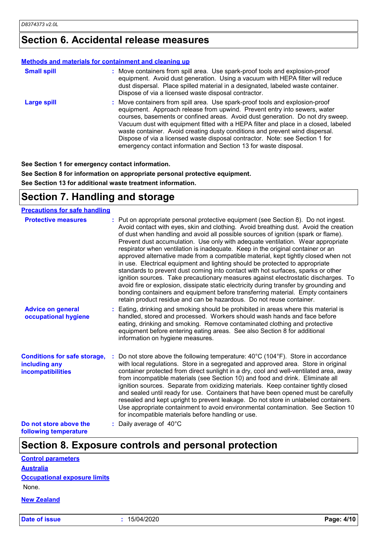#### **Section 6. Accidental release measures**

#### **Methods and materials for containment and cleaning up**

| <b>Small spill</b> | : Move containers from spill area. Use spark-proof tools and explosion-proof<br>equipment. Avoid dust generation. Using a vacuum with HEPA filter will reduce<br>dust dispersal. Place spilled material in a designated, labeled waste container.<br>Dispose of via a licensed waste disposal contractor.                                                                                                                                                                                                                                                              |
|--------------------|------------------------------------------------------------------------------------------------------------------------------------------------------------------------------------------------------------------------------------------------------------------------------------------------------------------------------------------------------------------------------------------------------------------------------------------------------------------------------------------------------------------------------------------------------------------------|
| Large spill        | : Move containers from spill area. Use spark-proof tools and explosion-proof<br>equipment. Approach release from upwind. Prevent entry into sewers, water<br>courses, basements or confined areas. Avoid dust generation. Do not dry sweep.<br>Vacuum dust with equipment fitted with a HEPA filter and place in a closed, labeled<br>waste container. Avoid creating dusty conditions and prevent wind dispersal.<br>Dispose of via a licensed waste disposal contractor. Note: see Section 1 for<br>emergency contact information and Section 13 for waste disposal. |

**See Section 1 for emergency contact information.**

**See Section 8 for information on appropriate personal protective equipment. See Section 13 for additional waste treatment information.**

### **Section 7. Handling and storage**

| <b>Precautions for safe handling</b>                                             |                                                                                                                                                                                                                                                                                                                                                                                                                                                                                                                                                                                                                                                                                                                                                                                                                                                                                                                                                                                                                                             |
|----------------------------------------------------------------------------------|---------------------------------------------------------------------------------------------------------------------------------------------------------------------------------------------------------------------------------------------------------------------------------------------------------------------------------------------------------------------------------------------------------------------------------------------------------------------------------------------------------------------------------------------------------------------------------------------------------------------------------------------------------------------------------------------------------------------------------------------------------------------------------------------------------------------------------------------------------------------------------------------------------------------------------------------------------------------------------------------------------------------------------------------|
| <b>Protective measures</b>                                                       | : Put on appropriate personal protective equipment (see Section 8). Do not ingest.<br>Avoid contact with eyes, skin and clothing. Avoid breathing dust. Avoid the creation<br>of dust when handling and avoid all possible sources of ignition (spark or flame).<br>Prevent dust accumulation. Use only with adequate ventilation. Wear appropriate<br>respirator when ventilation is inadequate. Keep in the original container or an<br>approved alternative made from a compatible material, kept tightly closed when not<br>in use. Electrical equipment and lighting should be protected to appropriate<br>standards to prevent dust coming into contact with hot surfaces, sparks or other<br>ignition sources. Take precautionary measures against electrostatic discharges. To<br>avoid fire or explosion, dissipate static electricity during transfer by grounding and<br>bonding containers and equipment before transferring material. Empty containers<br>retain product residue and can be hazardous. Do not reuse container. |
| <b>Advice on general</b><br>occupational hygiene                                 | : Eating, drinking and smoking should be prohibited in areas where this material is<br>handled, stored and processed. Workers should wash hands and face before<br>eating, drinking and smoking. Remove contaminated clothing and protective<br>equipment before entering eating areas. See also Section 8 for additional<br>information on hygiene measures.                                                                                                                                                                                                                                                                                                                                                                                                                                                                                                                                                                                                                                                                               |
| <b>Conditions for safe storage,</b><br>including any<br><b>incompatibilities</b> | Do not store above the following temperature: 40°C (104°F). Store in accordance<br>with local regulations. Store in a segregated and approved area. Store in original<br>container protected from direct sunlight in a dry, cool and well-ventilated area, away<br>from incompatible materials (see Section 10) and food and drink. Eliminate all<br>ignition sources. Separate from oxidizing materials. Keep container tightly closed<br>and sealed until ready for use. Containers that have been opened must be carefully<br>resealed and kept upright to prevent leakage. Do not store in unlabeled containers.<br>Use appropriate containment to avoid environmental contamination. See Section 10<br>for incompatible materials before handling or use.                                                                                                                                                                                                                                                                              |
| Do not store above the<br>following temperature                                  | : Daily average of $40^{\circ}$ C                                                                                                                                                                                                                                                                                                                                                                                                                                                                                                                                                                                                                                                                                                                                                                                                                                                                                                                                                                                                           |

### **Section 8. Exposure controls and personal protection**

| <b>Control parameters</b>           |
|-------------------------------------|
| <b>Australia</b>                    |
| <b>Occupational exposure limits</b> |
| None.                               |
| <b>New Zealand</b>                  |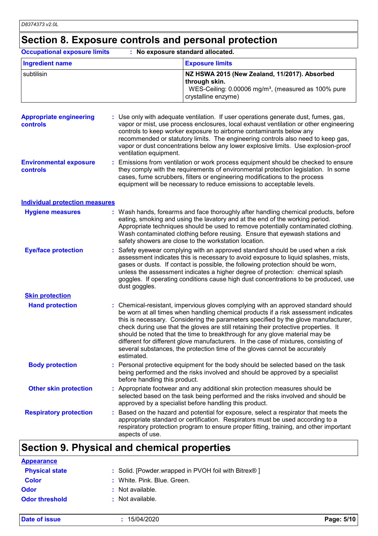#### **Section 8. Exposure controls and personal protection**

| <b>Occupational exposure limits</b> | No exposure standard allocated.                                                                                                                          |
|-------------------------------------|----------------------------------------------------------------------------------------------------------------------------------------------------------|
| Ingredient name                     | <b>Exposure limits</b>                                                                                                                                   |
| subtilisin                          | NZ HSWA 2015 (New Zealand, 11/2017). Absorbed<br>through skin.<br>WES-Ceiling: 0.00006 mg/m <sup>3</sup> , (measured as 100% pure<br>crystalline enzyme) |

**Environmental exposure controls :** Emissions from ventilation or work process equipment should be checked to ensure they comply with the requirements of environmental protection legislation. In some cases, fume scrubbers, filters or engineering modifications to the process **Appropriate engineering controls :** Use only with adequate ventilation. If user operations generate dust, fumes, gas, vapor or mist, use process enclosures, local exhaust ventilation or other engineering controls to keep worker exposure to airborne contaminants below any recommended or statutory limits. The engineering controls also need to keep gas, vapor or dust concentrations below any lower explosive limits. Use explosion-proof ventilation equipment.

equipment will be necessary to reduce emissions to acceptable levels.

#### **Individual protection measures**

| <b>Hygiene measures</b>       | : Wash hands, forearms and face thoroughly after handling chemical products, before<br>eating, smoking and using the lavatory and at the end of the working period.<br>Appropriate techniques should be used to remove potentially contaminated clothing.<br>Wash contaminated clothing before reusing. Ensure that eyewash stations and<br>safety showers are close to the workstation location.                                                                                                                                                                                                                         |
|-------------------------------|---------------------------------------------------------------------------------------------------------------------------------------------------------------------------------------------------------------------------------------------------------------------------------------------------------------------------------------------------------------------------------------------------------------------------------------------------------------------------------------------------------------------------------------------------------------------------------------------------------------------------|
| <b>Eye/face protection</b>    | Safety eyewear complying with an approved standard should be used when a risk<br>assessment indicates this is necessary to avoid exposure to liquid splashes, mists,<br>gases or dusts. If contact is possible, the following protection should be worn,<br>unless the assessment indicates a higher degree of protection: chemical splash<br>goggles. If operating conditions cause high dust concentrations to be produced, use<br>dust goggles.                                                                                                                                                                        |
| <b>Skin protection</b>        |                                                                                                                                                                                                                                                                                                                                                                                                                                                                                                                                                                                                                           |
| <b>Hand protection</b>        | : Chemical-resistant, impervious gloves complying with an approved standard should<br>be worn at all times when handling chemical products if a risk assessment indicates<br>this is necessary. Considering the parameters specified by the glove manufacturer,<br>check during use that the gloves are still retaining their protective properties. It<br>should be noted that the time to breakthrough for any glove material may be<br>different for different glove manufacturers. In the case of mixtures, consisting of<br>several substances, the protection time of the gloves cannot be accurately<br>estimated. |
| <b>Body protection</b>        | : Personal protective equipment for the body should be selected based on the task<br>being performed and the risks involved and should be approved by a specialist<br>before handling this product.                                                                                                                                                                                                                                                                                                                                                                                                                       |
| <b>Other skin protection</b>  | : Appropriate footwear and any additional skin protection measures should be<br>selected based on the task being performed and the risks involved and should be<br>approved by a specialist before handling this product.                                                                                                                                                                                                                                                                                                                                                                                                 |
| <b>Respiratory protection</b> | Based on the hazard and potential for exposure, select a respirator that meets the<br>appropriate standard or certification. Respirators must be used according to a<br>respiratory protection program to ensure proper fitting, training, and other important<br>aspects of use.                                                                                                                                                                                                                                                                                                                                         |

#### **Section 9. Physical and chemical properties**

| <b>Appearance</b>     |                                                     |
|-----------------------|-----------------------------------------------------|
| <b>Physical state</b> | : Solid. [Powder.wrapped in PVOH foil with Bitrex®] |
| <b>Color</b>          | : White, Pink, Blue, Green.                         |
| <b>Odor</b>           | : Not available.                                    |
| <b>Odor threshold</b> | : Not available.                                    |

**Date of issue :** 15/04/2020 **Page: 5/10**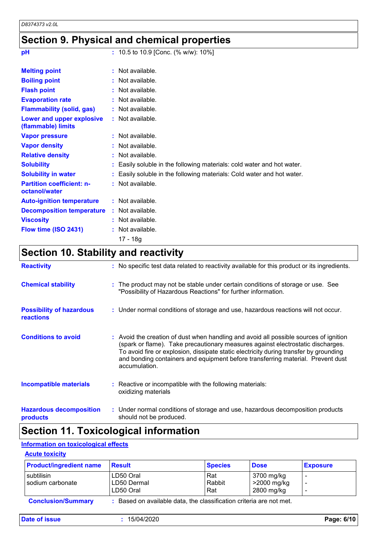## **Section 9. Physical and chemical properties**

| pH                                                     | : 10.5 to 10.9 [Conc. (% w/w): 10%]                                    |  |
|--------------------------------------------------------|------------------------------------------------------------------------|--|
| <b>Melting point</b>                                   | : Not available.                                                       |  |
| <b>Boiling point</b>                                   | : Not available.                                                       |  |
| <b>Flash point</b>                                     | : Not available.                                                       |  |
| <b>Evaporation rate</b>                                | : Not available.                                                       |  |
| <b>Flammability (solid, gas)</b>                       | : Not available.                                                       |  |
| <b>Lower and upper explosive</b><br>(flammable) limits | : Not available.                                                       |  |
| <b>Vapor pressure</b>                                  | : Not available.                                                       |  |
| <b>Vapor density</b>                                   | : Not available.                                                       |  |
| <b>Relative density</b>                                | : Not available.                                                       |  |
| <b>Solubility</b>                                      | : Easily soluble in the following materials: cold water and hot water. |  |
| <b>Solubility in water</b>                             | : Easily soluble in the following materials: Cold water and hot water. |  |
| <b>Partition coefficient: n-</b><br>octanol/water      | : Not available.                                                       |  |
| <b>Auto-ignition temperature</b>                       | : Not available.                                                       |  |
| <b>Decomposition temperature</b>                       | : Not available.                                                       |  |
| <b>Viscosity</b>                                       | : Not available.                                                       |  |
| Flow time (ISO 2431)                                   | : Not available.                                                       |  |
|                                                        | 17 - 18g                                                               |  |

### **Section 10. Stability and reactivity**

| <b>Reactivity</b>                                   | : No specific test data related to reactivity available for this product or its ingredients.                                                                                                                                                                                                                                                                          |
|-----------------------------------------------------|-----------------------------------------------------------------------------------------------------------------------------------------------------------------------------------------------------------------------------------------------------------------------------------------------------------------------------------------------------------------------|
| <b>Chemical stability</b>                           | : The product may not be stable under certain conditions of storage or use. See<br>"Possibility of Hazardous Reactions" for further information.                                                                                                                                                                                                                      |
| <b>Possibility of hazardous</b><br><b>reactions</b> | : Under normal conditions of storage and use, hazardous reactions will not occur.                                                                                                                                                                                                                                                                                     |
| <b>Conditions to avoid</b>                          | : Avoid the creation of dust when handling and avoid all possible sources of ignition<br>(spark or flame). Take precautionary measures against electrostatic discharges.<br>To avoid fire or explosion, dissipate static electricity during transfer by grounding<br>and bonding containers and equipment before transferring material. Prevent dust<br>accumulation. |
| <b>Incompatible materials</b>                       | $:$ Reactive or incompatible with the following materials:<br>oxidizing materials                                                                                                                                                                                                                                                                                     |
| <b>Hazardous decomposition</b><br>products          | : Under normal conditions of storage and use, hazardous decomposition products<br>should not be produced.                                                                                                                                                                                                                                                             |

### **Section 11. Toxicological information**

#### **Information on toxicological effects**

#### **Acute toxicity**

| <b>Product/ingredient name</b> | <b>Result</b>                                                       | <b>Species</b>       | <b>Dose</b>                             | <b>Exposure</b> |
|--------------------------------|---------------------------------------------------------------------|----------------------|-----------------------------------------|-----------------|
| subtilisin<br>sodium carbonate | LD50 Oral<br>LD50 Dermal<br>LD50 Oral                               | Rat<br>Rabbit<br>Rat | 3700 mg/kg<br>>2000 mg/kg<br>2800 mg/kg |                 |
| <b>Conclusion/Summary</b>      | : Based on available data, the classification criteria are not met. |                      |                                         |                 |

|  | Date of issue |  |
|--|---------------|--|
|  |               |  |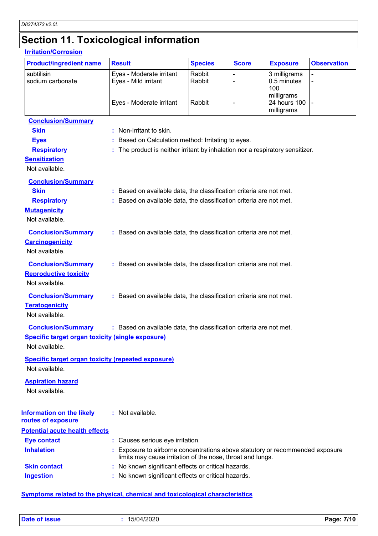# **Section 11. Toxicological information**

| <b>Irritation/Corrosion</b>                                                                            |                                                                                                                                             |                  |              |                                          |                    |
|--------------------------------------------------------------------------------------------------------|---------------------------------------------------------------------------------------------------------------------------------------------|------------------|--------------|------------------------------------------|--------------------|
| <b>Product/ingredient name</b>                                                                         | <b>Result</b>                                                                                                                               | <b>Species</b>   | <b>Score</b> | <b>Exposure</b>                          | <b>Observation</b> |
| subtilisin<br>sodium carbonate                                                                         | Eyes - Moderate irritant<br>Eyes - Mild irritant                                                                                            | Rabbit<br>Rabbit |              | 3 milligrams<br>0.5 minutes<br>100       |                    |
|                                                                                                        | Eyes - Moderate irritant                                                                                                                    | Rabbit           |              | milligrams<br>24 hours 100<br>milligrams |                    |
| <b>Conclusion/Summary</b>                                                                              |                                                                                                                                             |                  |              |                                          |                    |
| <b>Skin</b>                                                                                            | : Non-irritant to skin.                                                                                                                     |                  |              |                                          |                    |
| <b>Eyes</b>                                                                                            | : Based on Calculation method: Irritating to eyes.                                                                                          |                  |              |                                          |                    |
| <b>Respiratory</b><br><b>Sensitization</b><br>Not available.                                           | : The product is neither irritant by inhalation nor a respiratory sensitizer.                                                               |                  |              |                                          |                    |
| <b>Conclusion/Summary</b>                                                                              |                                                                                                                                             |                  |              |                                          |                    |
| <b>Skin</b>                                                                                            | : Based on available data, the classification criteria are not met.                                                                         |                  |              |                                          |                    |
| <b>Respiratory</b><br><b>Mutagenicity</b><br>Not available.                                            | : Based on available data, the classification criteria are not met.                                                                         |                  |              |                                          |                    |
| <b>Conclusion/Summary</b><br><b>Carcinogenicity</b><br>Not available.                                  | : Based on available data, the classification criteria are not met.                                                                         |                  |              |                                          |                    |
| <b>Conclusion/Summary</b><br><b>Reproductive toxicity</b><br>Not available.                            | : Based on available data, the classification criteria are not met.                                                                         |                  |              |                                          |                    |
| <b>Conclusion/Summary</b><br><b>Teratogenicity</b><br>Not available.                                   | : Based on available data, the classification criteria are not met.                                                                         |                  |              |                                          |                    |
| <b>Conclusion/Summary</b><br><b>Specific target organ toxicity (single exposure)</b><br>Not available. | : Based on available data, the classification criteria are not met.                                                                         |                  |              |                                          |                    |
| <b>Specific target organ toxicity (repeated exposure)</b><br>Not available.                            |                                                                                                                                             |                  |              |                                          |                    |
| <b>Aspiration hazard</b><br>Not available.                                                             |                                                                                                                                             |                  |              |                                          |                    |
|                                                                                                        |                                                                                                                                             |                  |              |                                          |                    |
| <b>Information on the likely</b><br>routes of exposure                                                 | : Not available.                                                                                                                            |                  |              |                                          |                    |
| <b>Potential acute health effects</b>                                                                  |                                                                                                                                             |                  |              |                                          |                    |
| <b>Eye contact</b>                                                                                     | : Causes serious eye irritation.                                                                                                            |                  |              |                                          |                    |
| <b>Inhalation</b>                                                                                      | : Exposure to airborne concentrations above statutory or recommended exposure<br>limits may cause irritation of the nose, throat and lungs. |                  |              |                                          |                    |
| <b>Skin contact</b><br><b>Ingestion</b>                                                                | : No known significant effects or critical hazards.<br>: No known significant effects or critical hazards.                                  |                  |              |                                          |                    |

#### **Symptoms related to the physical, chemical and toxicological characteristics**

|  | <b>Date of issue</b> |  |
|--|----------------------|--|
|  |                      |  |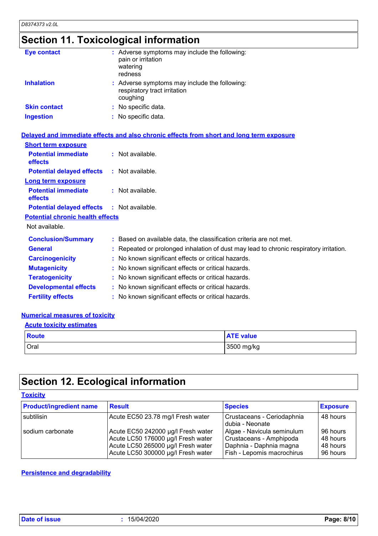### **Section 11. Toxicological information**

| <b>Eye contact</b>  | : Adverse symptoms may include the following:<br>pain or irritation<br>watering<br>redness |
|---------------------|--------------------------------------------------------------------------------------------|
| <b>Inhalation</b>   | : Adverse symptoms may include the following:<br>respiratory tract irritation<br>coughing  |
| <b>Skin contact</b> | : No specific data.                                                                        |
| <b>Ingestion</b>    | : No specific data.                                                                        |

|                                                   | Delayed and immediate effects and also chronic effects from short and long term exposure |
|---------------------------------------------------|------------------------------------------------------------------------------------------|
| <b>Short term exposure</b>                        |                                                                                          |
| <b>Potential immediate</b><br>effects             | $:$ Not available.                                                                       |
| <b>Potential delayed effects : Not available.</b> |                                                                                          |
| <b>Long term exposure</b>                         |                                                                                          |
| <b>Potential immediate</b><br>effects             | $:$ Not available.                                                                       |
| <b>Potential delayed effects : Not available.</b> |                                                                                          |
| <b>Potential chronic health effects</b>           |                                                                                          |
| Not available.                                    |                                                                                          |
| <b>Conclusion/Summary</b>                         | : Based on available data, the classification criteria are not met.                      |
| <b>General</b>                                    | Repeated or prolonged inhalation of dust may lead to chronic respiratory irritation.     |
| <b>Carcinogenicity</b>                            | : No known significant effects or critical hazards.                                      |
| <b>Mutagenicity</b>                               | : No known significant effects or critical hazards.                                      |
| <b>Teratogenicity</b>                             | : No known significant effects or critical hazards.                                      |
| <b>Developmental effects</b>                      | : No known significant effects or critical hazards.                                      |
| <b>Fertility effects</b>                          | : No known significant effects or critical hazards.                                      |

#### **Numerical measures of toxicity**

#### **Acute toxicity estimates**

| <b>Route</b> | <b>ATE value</b> |
|--------------|------------------|
| Oral         | 3500 mg/kg       |

### **Section 12. Ecological information**

#### **Toxicity**

| <b>Product/ingredient name</b> | <b>Result</b>                                                                                                                                        | <b>Species</b>                                                                                                 | <b>Exposure</b>                              |
|--------------------------------|------------------------------------------------------------------------------------------------------------------------------------------------------|----------------------------------------------------------------------------------------------------------------|----------------------------------------------|
| subtilisin                     | Acute EC50 23.78 mg/l Fresh water                                                                                                                    | Crustaceans - Ceriodaphnia<br>dubia - Neonate                                                                  | 48 hours                                     |
| sodium carbonate               | Acute EC50 242000 µg/l Fresh water<br>Acute LC50 176000 µg/l Fresh water<br>Acute LC50 265000 µg/l Fresh water<br>Acute LC50 300000 µg/l Fresh water | Algae - Navicula seminulum<br>Crustaceans - Amphipoda<br>Daphnia - Daphnia magna<br>Fish - Lepomis macrochirus | 96 hours<br>48 hours<br>48 hours<br>96 hours |

#### **Persistence and degradability**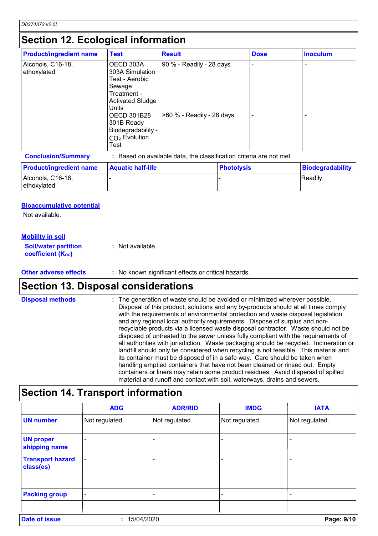#### **Section 12. Ecological information**

| <b>Product/ingredient name</b>   | <b>Test</b>                                                                                                                                                                                                | <b>Result</b>                                                       | <b>Dose</b> | <b>Inoculum</b> |
|----------------------------------|------------------------------------------------------------------------------------------------------------------------------------------------------------------------------------------------------------|---------------------------------------------------------------------|-------------|-----------------|
| Alcohols, C16-18,<br>ethoxylated | OECD 303A<br>303A Simulation<br>Test - Aerobic<br>Sewage<br>Treatment -<br><b>Activated Sludge</b><br>Units<br><b>OECD 301B28</b><br>301B Ready<br>Biodegradability -<br>CO <sub>2</sub> Evolution<br>Test | 90 % - Readily - 28 days<br>>60 % - Readily - 28 days               |             |                 |
| <b>Conclusion/Summary</b>        |                                                                                                                                                                                                            | : Based on available data, the classification criteria are not met. |             |                 |

| <b>Product/ingredient name</b>   | <b>Aquatic half-life</b> | <b>Photolysis</b> | Biodegradability |
|----------------------------------|--------------------------|-------------------|------------------|
| Alcohols, C16-18,<br>ethoxylated |                          |                   | Readily          |

#### **Bioaccumulative potential**

Not available.

| <b>Mobility in soil</b>                                 |                  |
|---------------------------------------------------------|------------------|
| <b>Soil/water partition</b><br><b>coefficient (Koc)</b> | : Not available. |

#### **Other adverse effects** : No known significant effects or critical hazards.

### **Section 13. Disposal considerations**

| <b>Disposal methods</b> | : The generation of waste should be avoided or minimized wherever possible.<br>Disposal of this product, solutions and any by-products should at all times comply<br>with the requirements of environmental protection and waste disposal legislation<br>and any regional local authority requirements. Dispose of surplus and non-<br>recyclable products via a licensed waste disposal contractor. Waste should not be<br>disposed of untreated to the sewer unless fully compliant with the requirements of<br>all authorities with jurisdiction. Waste packaging should be recycled. Incineration or<br>landfill should only be considered when recycling is not feasible. This material and<br>its container must be disposed of in a safe way. Care should be taken when<br>handling emptied containers that have not been cleaned or rinsed out. Empty<br>containers or liners may retain some product residues. Avoid dispersal of spilled |
|-------------------------|----------------------------------------------------------------------------------------------------------------------------------------------------------------------------------------------------------------------------------------------------------------------------------------------------------------------------------------------------------------------------------------------------------------------------------------------------------------------------------------------------------------------------------------------------------------------------------------------------------------------------------------------------------------------------------------------------------------------------------------------------------------------------------------------------------------------------------------------------------------------------------------------------------------------------------------------------|
|                         | material and runoff and contact with soil, waterways, drains and sewers.                                                                                                                                                                                                                                                                                                                                                                                                                                                                                                                                                                                                                                                                                                                                                                                                                                                                           |

|                                      | <b>ADG</b>               | <b>ADR/RID</b> | <b>IMDG</b>              | <b>IATA</b>    |
|--------------------------------------|--------------------------|----------------|--------------------------|----------------|
| <b>UN number</b>                     | Not regulated.           | Not regulated. | Not regulated.           | Not regulated. |
| <b>UN proper</b><br>shipping name    |                          |                |                          |                |
| <b>Transport hazard</b><br>class(es) | $\overline{\phantom{0}}$ |                | $\overline{\phantom{0}}$ |                |
| <b>Packing group</b>                 | $\overline{\phantom{a}}$ |                | -                        | -              |
| <b>Date of issue</b>                 |                          | 15/04/2020     |                          | Page: 9/10     |

## **Section 14. Transport information**